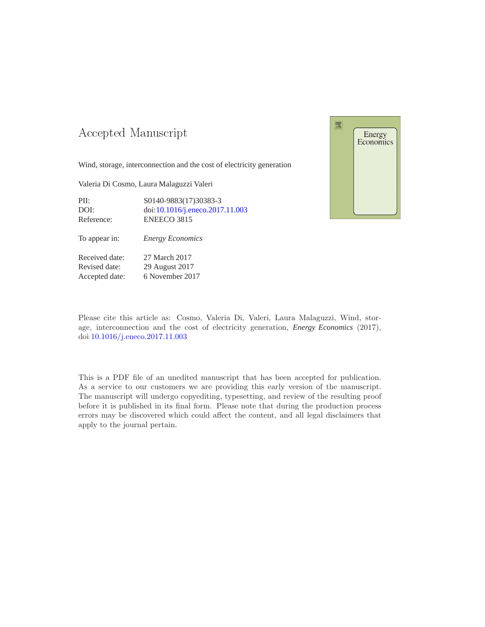## -- -

Wind, storage, interconnection and the cost of electricity generation

Valeria Di Cosmo, Laura Malaguzzi Valeri

PII: S0140-9883(17)30383-3 DOI: doi[:10.1016/j.eneco.2017.11.003](https://doi.org/10.1016/j.eneco.2017.11.003) Reference: ENEECO 3815

To appear in: *Energy Economics*

Received date: 27 March 2017 Revised date: 29 August 2017 Accepted date: 6 November 2017



Please cite this article as: Cosmo, Valeria Di, Valeri, Laura Malaguzzi, Wind, storage, interconnection and the cost of electricity generation, *Energy Economics* (2017), doi[:10.1016/j.eneco.2017.11.003](https://doi.org/10.1016/j.eneco.2017.11.003)

This is a PDF file of an unedited manuscript that has been accepted for publication. As a service to our customers we are providing this early version of the manuscript. The manuscript will undergo copyediting, typesetting, and review of the resulting proof before it is published in its final form. Please note that during the production process errors may be discovered which could affect the content, and all legal disclaimers that apply to the journal pertain.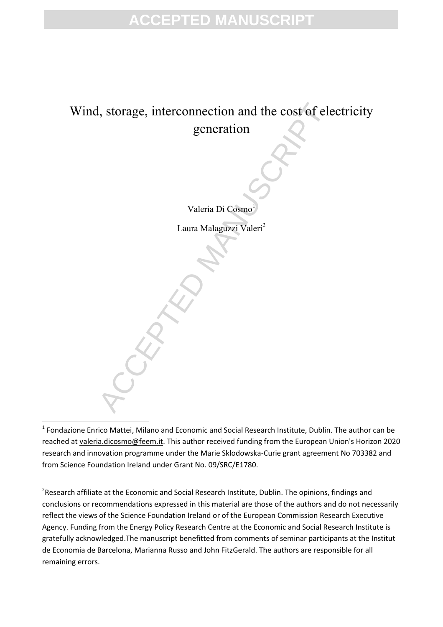## **ACCEPTED MANUSCRIPT**

## I, storage, interconnection and the cost of elemention<br>generation<br>Valeria Di Cosmo<br>Laura Malaguzzi Valeri<sup>2</sup> Wind, storage, interconnection and the cost of electricity generation

Valeria Di Cosmo<sup>1</sup>

Laura Malaguzzi Valeri<sup>2</sup>

 $^1$  Fondazione Enrico Mattei, Milano and Economic and Social Research Institute, Dublin. The author can be reached at valeria.dicosmo@feem.it. This author received funding from the European Union's Horizon 2020 research and innovation programme under the Marie Sklodowska-Curie grant agreement No 703382 and from Science Foundation Ireland under Grant No. 09/SRC/E1780.

<u>.</u>

 $2$ Research affiliate at the Economic and Social Research Institute, Dublin. The opinions, findings and conclusions or recommendations expressed in this material are those of the authors and do not necessarily reflect the views of the Science Foundation Ireland or of the European Commission Research Executive Agency. Funding from the Energy Policy Research Centre at the Economic and Social Research Institute is gratefully acknowledged.The manuscript benefitted from comments of seminar participants at the Institut de Economia de Barcelona, Marianna Russo and John FitzGerald. The authors are responsible for all remaining errors.